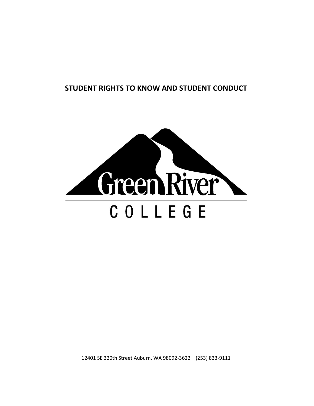# **STUDENT RIGHTS TO KNOW AND STUDENT CONDUCT**



12401 SE 320th Street Auburn, WA 98092-3622 | (253) 833-9111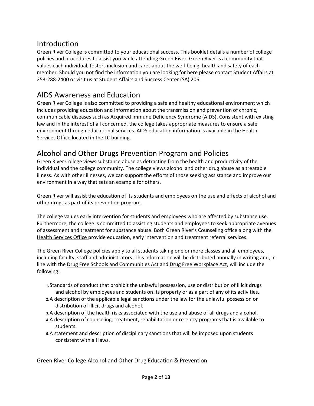# Introduction

Green River College is committed to your educational success. This booklet details a number of college policies and procedures to assist you while attending Green River. Green River is a community that values each individual, fosters inclusion and cares about the well-being, health and safety of each member. Should you not find the information you are looking for here please contact Student Affairs at 253-288-2400 or visit us at Student Affairs and Success Center (SA) 206.

# AIDS Awareness and Education

Green River College is also committed to providing a safe and healthy educational environment which includes providing education and information about the transmission and prevention of chronic, communicable diseases such as Acquired Immune Deficiency Syndrome (AIDS). Consistent with existing law and in the interest of all concerned, the college takes appropriate measures to ensure a safe environment through educational services. AIDS education information is available in the Health Services Office located in the LC building.

# Alcohol and Other Drugs Prevention Program and Policies

Green River College views substance abuse as detracting from the health and productivity of the individual and the college community. The college views alcohol and other drug abuse as a treatable illness. As with other illnesses, we can support the efforts of those seeking assistance and improve our environment in a way that sets an example for others.

Green River will assist the education of its students and employees on the use and effects of alcohol and other drugs as part of its prevention program.

The college values early intervention for students and employees who are affected by substance use. Furthermore, the college is committed to assisting students and employees to seek appropriate avenues of assessment and treatment for substance abuse. Both Green River's [Counseling office a](http://www.greenriver.edu/student-affairs/counseling-and-health-services/counseling-services.htm)long with the [Health Services Office p](http://www.greenriver.edu/student-affairs/counseling-and-health-services/health-services.htm)rovide education, early intervention and treatment referral services.

The Green River College policies apply to all students taking one or more classes and all employees, including faculty, staff and administrators. This information will be distributed annually in writing and, in line with th[e Drug Free Schools and Communities Act a](http://www2.ed.gov/policy/elsec/leg/esea02/pg51.html)nd [Drug Free Workplace Act,](http://www.dol.gov/elaws/asp/drugfree/screenr.htm) will include the following:

- **1.** Standards of conduct that prohibit the unlawful possession, use or distribution of illicit drugs and alcohol by employees and students on its property or as a part of any of its activities.
- **2.** A description of the applicable legal sanctions under the law for the unlawful possession or distribution of illicit drugs and alcohol.
- **3.** A description of the health risks associated with the use and abuse of all drugs and alcohol.
- **4.** A description of counseling, treatment, rehabilitation or re-entry programs that is available to students.
- **5.** A statement and description of disciplinary sanctions that will be imposed upon students consistent with all laws.

Green River College Alcohol and Other Drug Education & Prevention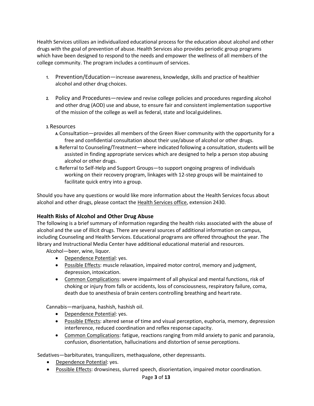Health Services utilizes an individualized educational process for the education about alcohol and other drugs with the goal of prevention of abuse. Health Services also provides periodic group programs which have been designed to respond to the needs and empower the wellness of all members of the college community. The program includes a continuum of services.

- **1.** Prevention/Education—increase awareness, knowledge, skills and practice of healthier alcohol and other drug choices.
- **2.** Policy and Procedures—review and revise college policies and procedures regarding alcohol and other drug (AOD) use and abuse, to ensure fair and consistent implementation supportive of the mission of the college as well as federal, state and local guidelines.
- **3.** Resources
	- **A.** Consultation—provides all members of the Green River community with the opportunity for a free and confidential consultation about their use/abuse of alcohol or other drugs.
	- **B.** Referral to Counseling/Treatment—where indicated following a consultation, students will be assisted in finding appropriate services which are designed to help a person stop abusing alcohol or other drugs.
	- **C.** Referral to Self-Help and Support Groups—to support ongoing progress of individuals working on their recovery program, linkages with 12-step groups will be maintained to facilitate quick entry into a group.

Should you have any questions or would like more information about the Health Services focus about alcohol and other drugs, please contact the [Health Services office,](http://www.greenriver.edu/student-affairs/counseling-and-health-services/health-services.htm) extension 2430.

## **Health Risks of Alcohol and Other Drug Abuse**

The following is a brief summary of information regarding the health risks associated with the abuse of alcohol and the use of illicit drugs. There are several sources of additional information on campus, including Counseling and Health Services. Educational programs are offered throughout the year. The library and Instructional Media Center have additional educational material and resources.

Alcohol—beer, wine, liquor.

- Dependence Potential: yes.
- Possible Effects: muscle relaxation, impaired motor control, memory and judgment, depression, intoxication.
- Common Complications: severe impairment of all physical and mental functions, risk of choking or injury from falls or accidents, loss of consciousness, respiratory failure, coma, death due to anesthesia of brain centers controlling breathing and heartrate.

Cannabis—marijuana, hashish, hashish oil.

- Dependence Potential: yes.
- Possible Effects: altered sense of time and visual perception, euphoria, memory, depression interference, reduced coordination and reflex response capacity.
- **•** Common Complications: fatigue, reactions ranging from mild anxiety to panic and paranoia, confusion, disorientation, hallucinations and distortion of sense perceptions.

Sedatives—barbiturates, tranquilizers, methaqualone, other depressants.

- Dependence Potential: yes.
- Possible Effects: drowsiness, slurred speech, disorientation, impaired motor coordination.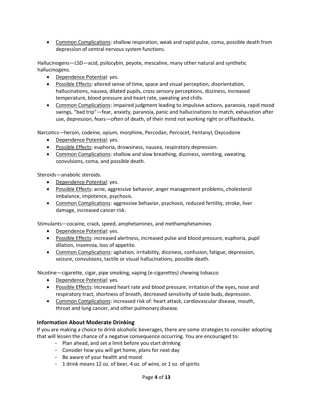Common Complications: shallow respiration, weak and rapid pulse, coma, possible death from depression of central nervous system functions.

Hallucinogens—LSD—acid, psilocybin, peyote, mescaline, many other natural and synthetic hallucinogens.

- Dependence Potential: yes.
- Possible Effects: altered sense of time, space and visual perception, disorientation, hallucinations, nausea, dilated pupils, cross sensory perceptions, dizziness, increased temperature, blood pressure and heart rate, sweating and chills.
- Common Complications: impaired judgment leading to impulsive actions, paranoia, rapid mood swings, "bad trip"—fear, anxiety, paranoia, panic and hallucinations to match, exhaustion after use, depression, fears—often of death, of their mind not working right or offlashbacks.

Narcotics—heroin, codeine, opium, morphine, Percodan, Percocet, Fentanyl, Oxycodone

- Dependence Potential: yes.
- Possible Effects: euphoria, drowsiness, nausea, respiratory depression.
- Common Complications: shallow and slow breathing, dizziness, vomiting, sweating, convulsions, coma, and possible death.

Steroids—anabolic steroids.

- Dependence Potential: yes.
- Possible Effects: acne, aggressive behavior, anger management problems, cholesterol imbalance, impotence, psychosis.
- Common Complications: aggressive behavior, psychosis, reduced fertility, stroke, liver damage, increased cancer risk.

Stimulants—cocaine, crack, speed, amphetamines, and methamphetamines

- Dependence Potential: yes.
- Possible Effects: increased alertness, increased pulse and blood pressure, euphoria, pupil dilation, insomnia, loss of appetite.
- Common Complications: agitation, irritability, dizziness, confusion, fatigue, depression, seizure, convulsions, tactile or visual hallucinations, possible death.

Nicotine—cigarette, cigar, pipe smoking, vaping (e-cigarettes) chewing tobacco

- Dependence Potential: yes.
- Possible Effects: increased heart rate and blood pressure, irritation of the eyes, nose and respiratory tract, shortness of breath, decreased sensitivity of taste buds, depression.
- Common Complications: increased risk of: heart attack, cardiovascular disease, mouth, throat and lung cancer, and other pulmonary disease.

#### **Information About Moderate Drinking**

If you are making a choice to drink alcoholic beverages, there are some strategies to consider adopting that will lessen the chance of a negative consequence occurring. You are encouraged to:

- Plan ahead, and set a limit before you start drinking
- $\cdot$  Consider how you will get home, plans for next day
- Be aware of your health and mood
- $\cdot$  1 drink means 12 oz. of beer, 4 oz. of wine, or 1 oz. of spirits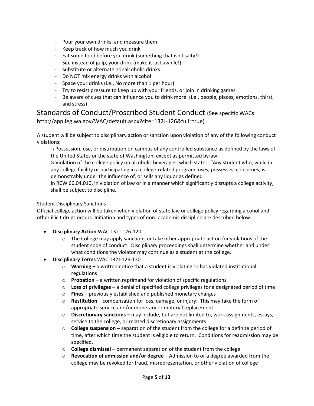- Pour your own drinks, and measure them
- Keep track of how much you drink
- $\cdot$  Eat some food before you drink (something that isn't salty!)
- Sip, instead of gulp, your drink (make it last awhile!)
- Substitute or alternate nonalcoholic drinks
- Do NOT mix energy drinks with alcohol
- Space your drinks (i.e., No more than 1 per hour)
- Try to resist pressure to keep up with your friends, or join in drinking games
- Be aware of cues that can influence you to drink more: (i.e., people, places, emotions, thirst, and stress)

# Standards of Conduct/Proscribed Student Conduct (See specific WACs [http://app.leg.wa.gov/WAC/default.aspx?cite=132J-126&full=true\)](http://app.leg.wa.gov/WAC/default.aspx?cite=132J-126&full=true)

A student will be subject to disciplinary action or sanction upon violation of any of the following conduct violations:

1) Possession, use, or distribution on campus of any controlled substance as defined by the laws of the United States or the state of Washington, except as permitted bylaw;

2) Violation of the college policy on alcoholic beverages, which states: "Any student who, while in any college facility or participating in a college-related program, uses, possesses, consumes, is demonstrably under the influence of, or sells any liquor as defined

in [RCW 66.04.010,](http://apps.leg.wa.gov/rcw/default.aspx?cite=66.04.010) in violation of law or in a manner which significantly disrupts a college activity, shall be subject to discipline."

#### Student Disciplinary Sanctions

Official college action will be taken when violation of state law or college policy regarding alcohol and other illicit drugs occurs. Initiation and types of non- academic discipline are described below.

- **Disciplinary Action** WAC 132J-126-120
	- o The College may apply sanctions or take other appropriate action for violations of the student code of conduct. Disciplinary proceedings shall determine whether and under what conditions the violator may continue as a student at the college.
- **Disciplinary Terms** WAC 132J-126-130
	- o **Warning –** a written notice that a student is violating or has violated institutional regulations
	- o **Probation –** a written reprimand for violation of specific regulations
	- o **Loss of privileges –** a denial of specified college privileges for a designated period of time
	- o **Fines –** previously established and published monetary charges
	- o **Restitution**  compensation for loss, damage, or injury. This may take the form of appropriate service and/or monetary or material replacement
	- o **Discretionary sanctions –** may include, but are not limited to, work assignments, essays, service to the college, or related discretionary assignments
	- o **College suspension –** separation of the student from the college for a definite period of time, after which time the student is eligible to return. Conditions for readmission may be specified.
	- o **College dismissal –** permanent separation of the student from the college
	- o **Revocation of admission and/or degree –** Admission to or a degree awarded from the college may be revoked for fraud, misrepresentation, or other violation of college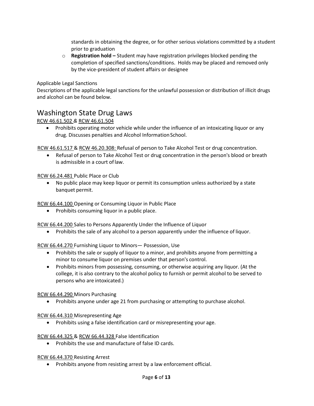standards in obtaining the degree, or for other serious violations committed by a student prior to graduation

o **Registration hold –** Student may have registration privileges blocked pending the completion of specified sanctions/conditions. Holds may be placed and removed only by the vice-president of student affairs or designee

Applicable Legal Sanctions

Descriptions of the applicable legal sanctions for the unlawful possession or distribution of illicit drugs and alcohol can be found below.

# Washington State Drug Laws

[RCW 46.61.502](http://apps.leg.wa.gov/rcw/default.aspx?cite=46.61.502) *&* [RCW 46.61.504](http://apps.leg.wa.gov/rcw/default.aspx?cite=46.61.504)

• Prohibits operating motor vehicle while under the influence of an intoxicating liquor or any drug. Discusses penalties and Alcohol Information School.

[RCW 46.61.517 & RCW 46.20.308:](http://apps.leg.wa.gov/rcw/default.aspx?cite=46.20.308) Refusal of person to Take Alcohol Test or drug concentration.

 Refusal of person to Take Alcohol Test or drug concentration in the person's blood or breath is admissible in a court oflaw.

[RCW 66.24.481 P](http://apps.leg.wa.gov/rcw/default.aspx?cite=66.24.481)ublic Place or Club

 No public place may keep liquor or permit its consumption unless authorized by a state banquet permit.

[RCW 66.44.100 O](http://apps.leg.wa.gov/rcw/default.aspx?cite=66.44.100)pening or Consuming Liquor in Public Place

• Prohibits consuming liquor in a public place.

[RCW 66.44.200 S](http://apps.leg.wa.gov/rcw/default.aspx?cite=66.44.200)ales to Persons Apparently Under the Influence of Liquor

Prohibits the sale of any alcohol to a person apparently under the influence of liquor.

[RCW 66.44.270 F](http://apps.leg.wa.gov/rcw/default.aspx?cite=66.44.270)urnishing Liquor to Minors— Possession, Use

- Prohibits the sale or supply of liquor to a minor, and prohibits anyone from permitting a minor to consume liquor on premises under that person's control.
- Prohibits minors from possessing, consuming, or otherwise acquiring any liquor. (At the college, it is also contrary to the alcohol policy to furnish or permit alcohol to be served to persons who are intoxicated.)

[RCW 66.44.290 M](http://apps.leg.wa.gov/rcw/default.aspx?cite=66.44.290)inors Purchasing

Prohibits anyone under age 21 from purchasing or attempting to purchase alcohol.

[RCW 66.44.310 M](http://apps.leg.wa.gov/rcw/default.aspx?cite=66.44.310)isrepresenting Age

Prohibits using a false identification card or misrepresenting your age.

[RCW 66.44.325 &](http://apps.leg.wa.gov/rcw/default.aspx?cite=66.44.325) [RCW 66.44.328 F](http://apps.leg.wa.gov/rcw/default.aspx?cite=66.44.328)alse Identification

• Prohibits the use and manufacture of false ID cards.

[RCW 66.44.370 R](http://apps.leg.wa.gov/rcw/default.aspx?cite=66.44.370)esisting Arrest

• Prohibits anyone from resisting arrest by a law enforcement official.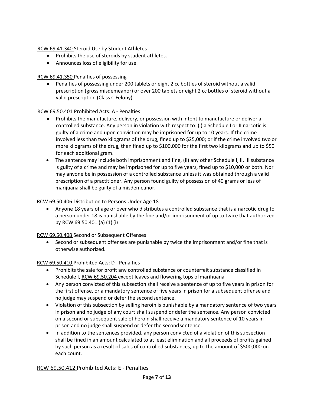[RCW 69.41.340 S](http://apps.leg.wa.gov/rcw/default.aspx?cite=69.41.340)teroid Use by Student Athletes

- Prohibits the use of steroids by student athletes.
- Announces loss of eligibility for use.

# [RCW 69.41.350 P](http://apps.leg.wa.gov/rcw/default.aspx?cite=69.41.350)enalties of possessing

 Penalties of possessing under 200 tablets or eight 2 cc bottles of steroid without a valid prescription (gross misdemeanor) or over 200 tablets or eight 2 cc bottles of steroid without a valid prescription (Class C Felony)

## [RCW 69.50.401 P](http://app.leg.wa.gov/rcw/default.aspx?cite=69.50.401)rohibited Acts: A - Penalties

- Prohibits the manufacture, delivery, or possession with intent to manufacture or deliver a controlled substance. Any person in violation with respect to: (i) a Schedule I or II narcotic is guilty of a crime and upon conviction may be imprisoned for up to 10 years. If the crime involved less than two kilograms of the drug, fined up to \$25,000; or if the crime involved two or more kilograms of the drug, then fined up to \$100,000 for the first two kilograms and up to \$50 for each additional gram.
- The sentence may include both imprisonment and fine, (ii) any other Schedule I, II, III substance is guilty of a crime and may be imprisoned for up to five years, fined up to \$10,000 or both. Nor may anyone be in possession of a controlled substance unless it was obtained through a valid prescription of a practitioner. Any person found guilty of possession of 40 grams or less of marijuana shall be guilty of a misdemeanor.

# [RCW 69.50.406 D](http://apps.leg.wa.gov/rcw/default.aspx?cite=69.50.406)istribution to Persons Under Age 18

 Anyone 18 years of age or over who distributes a controlled substance that is a narcotic drug to a person under 18 is punishable by the fine and/or imprisonment of up to twice that authorized by RCW 69.50.401 (a) (1) (i)

[RCW 69.50.408 S](http://apps.leg.wa.gov/rcw/default.aspx?cite=69.50.408)econd or Subsequent Offenses

• Second or subsequent offenses are punishable by twice the imprisonment and/or fine that is otherwise authorized.

## [RCW 69.50.410 P](http://apps.leg.wa.gov/rcw/default.aspx?cite=69.50.410)rohibited Acts: D - Penalties

- Prohibits the sale for profit any controlled substance or counterfeit substance classified in Schedule I, [RCW 69.50.204 e](http://apps.leg.wa.gov/rcw/default.aspx?cite=69.50.204)xcept leaves and flowering tops ofmarihuana
- Any person convicted of this subsection shall receive a sentence of up to five years in prison for the first offense, or a mandatory sentence of five years in prison for a subsequent offense and no judge may suspend or defer the secondsentence.
- Violation of this subsection by selling heroin is punishable by a mandatory sentence of two years in prison and no judge of any court shall suspend or defer the sentence. Any person convicted on a second or subsequent sale of heroin shall receive a mandatory sentence of 10 years in prison and no judge shall suspend or defer the secondsentence.
- In addition to the sentences provided, any person convicted of a violation of this subsection shall be fined in an amount calculated to at least elimination and all proceeds of profits gained by such person as a result of sales of controlled substances, up to the amount of \$500,000 on each count.

[RCW 69.50.412 P](http://apps.leg.wa.gov/rcw/default.aspx?cite=69.50.412)rohibited Acts: E - Penalties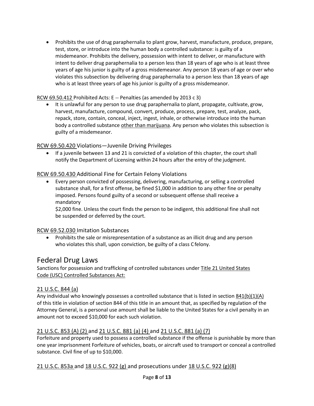Prohibits the use of drug paraphernalia to plant grow, harvest, manufacture, produce, prepare, test, store, or introduce into the human body a controlled substance: is guilty of a misdemeanor. Prohibits the delivery, possession with intent to deliver, or manufacture with intent to deliver drug paraphernalia to a person less than 18 years of age who is at least three years of age his junior is guilty of a gross misdemeanor. Any person 18 years of age or over who violates this subsection by delivering drug paraphernalia to a person less than 18 years of age who is at least three years of age his junior is guilty of a gross misdemeanor.

## [RCW 69.50.412](http://apps.leg.wa.gov/rcw/default.aspx?cite=69.50.412) Prohibited Acts: E -- Penalties (as amended by 2013 c 3)

• It is unlawful for any person to use drug paraphernalia to plant, propagate, cultivate, grow, harvest, manufacture, compound, convert, produce, process, prepare, test, analyze, pack, repack, store, contain, conceal, inject, ingest, inhale, or otherwise introduce into the human body a controlled substance other than marijuana. Any person who violates this subsection is guilty of a misdemeanor.

[RCW 69.50.420 V](http://apps.leg.wa.gov/rcw/default.aspx?cite=69.50.420)iolations—Juvenile Driving Privileges

 If a juvenile between 13 and 21 is convicted of a violation of this chapter, the court shall notify the Department of Licensing within 24 hours after the entry of the judgment.

## [RCW 69.50.430 A](http://apps.leg.wa.gov/rcw/default.aspx?cite=69.50.430)dditional Fine for Certain Felony Violations

 Every person convicted of possessing, delivering, manufacturing, or selling a controlled substance shall, for a first offense, be fined \$1,000 in addition to any other fine or penalty imposed. Persons found guilty of a second or subsequent offense shall receive a mandatory

\$2,000 fine. Unless the court finds the person to be indigent, this additional fine shall not be suspended or deferred by the court.

## [RCW 69.52.030 I](http://apps.leg.wa.gov/rcw/default.aspx?cite=69.52.030)mitation Substances

• Prohibits the sale or misrepresentation of a substance as an illicit drug and any person who violates this shall, upon conviction, be guilty of a class Cfelony.

# Federal Drug Laws

Sanctions for possession and trafficking of controlled substances unde[r Title 21 United States](http://www.deadiversion.usdoj.gov/21cfr/21usc/)  [Code](http://www.deadiversion.usdoj.gov/21cfr/21usc/) [\(USC\) C](http://www.deadiversion.usdoj.gov/21cfr/21usc/)ontrolled Substances Act:

## [21 U.S.C. 844 \(a\)](http://www.deadiversion.usdoj.gov/21cfr/21usc/844a.htm)

Any individual who knowingly possesses a controlled substance that is listed in section  $841(b)(1)(A)$ of this title in violation of section 844 of this title in an amount that, as specified by regulation of the Attorney General, is a personal use amount shall be liable to the United States for a civil penalty in an amount not to exceed \$10,000 for each such violation.

# [21 U.S.C. 853 \(A\) \(2\) a](http://www.deadiversion.usdoj.gov/21cfr/21usc/853.htm)nd [21 U.S.C. 881 \(a\) \(4\) a](http://www.deadiversion.usdoj.gov/21cfr/21usc/881.htm)nd [21 U.S.C. 881 \(a\) \(7\)](http://www.deadiversion.usdoj.gov/21cfr/21usc/881.htm)

Forfeiture and property used to possess a controlled substance if the offense is punishable by more than one year imprisonment Forfeiture of vehicles, boats, or aircraft used to transport or conceal a controlled substance. Civil fine of up to \$10,000.

# [21 U.S.C. 853a a](http://www.deadiversion.usdoj.gov/21cfr/21usc/853.htm)nd [18 U.S.C. 922 \(g\) a](http://www.atf.gov/files/firearms/how-to/identify-prohibited-persons.html)nd prosecutions under [18 U.S.C. 922 \(g\)\(8\)](http://www.justice.gov/usao/eousa/foia_reading_room/usam/title9/crm01116.htm)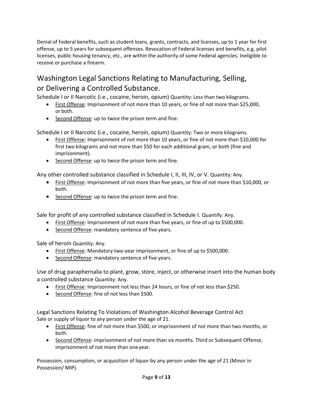Denial of Federal benefits, such as student loans, grants, contracts, and licenses, up to 1 year for first offense, up to 5 years for subsequent offenses. Revocation of Federal licenses and benefits, e.g. pilot licenses, public housing tenancy, etc., are within the authority of some Federal agencies. Ineligible to receive or purchase a firearm.

# Washington Legal Sanctions Relating to Manufacturing, Selling, or Delivering a Controlled Substance.

Schedule I or II Narcotic (i.e., cocaine, heroin, opium) Quantity: Less than two kilograms.

- First Offense: Imprisonment of not more than 10 years, or fine of not more than \$25,000, or both.
- Second Offense: up to twice the prison term and fine.

Schedule I or II Narcotic (i.e., cocaine, heroin, opium) Quantity: Two or more kilograms.

- First Offense: Imprisonment of not more than 10 years, or fine of not more than \$10,000 for first two kilograms and not more than \$50 for each additional gram, or both (fine and imprisonment).
- **Second Offense:** up to twice the prison term and fine.

Any other controlled substance classified in Schedule I, II, III, IV, or V. Quantity: Any.

- **First Offense:** Imprisonment of not more than five years, or fine of not more than \$10,000, or both.
- **•** Second Offense: up to twice the prison term and fine.

Sale for profit of any controlled substance classified in Schedule I. Quantify: Any.

- First Offense: Imprisonment of not more than five years, or fine of up to \$500,000.
- Second Offense: mandatory sentence of five years.

Sale of heroin Quantity: Any.

- First Offense: Mandatory two-year imprisonment, or fine of up to \$500,000.
- Second Offense: mandatory sentence of five years.

Use of drug paraphernalia to plant, grow, store, inject, or otherwise insert into the human body a controlled substance Quantity: Any.

- **First Offense:** Imprisonment not less than 24 hours, or fine of not less than \$250.
- Second Offense: fine of not less than \$500.

Legal Sanctions Relating To Violations of Washington Alcohol Beverage Control Act Sale or supply of liquor to any person under the age of 21.

- First Offense: fine of not more than \$500, or imprisonment of not more than two months, or both.
- Second Offense: imprisonment of not more than six months. Third or Subsequent Offense, imprisonment of not more than oneyear.

Possession, consumption, or acquisition of liquor by any person under the age of 21 (Minor in Possession/ MIP).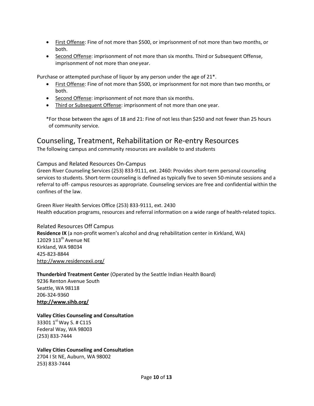- **First Offense:** Fine of not more than \$500, or imprisonment of not more than two months, or both.
- Second Offense: imprisonment of not more than six months. Third or Subsequent Offense, imprisonment of not more than oneyear.

Purchase or attempted purchase of liquor by any person under the age of 21\*.

- First Offense: Fine of not more than \$500, or imprisonment for not more than two months, or both.
- Second Offense: imprisonment of not more than six months.
- Third or Subsequent Offense: imprisonment of not more than one year.

\*For those between the ages of 18 and 21: Fine of not less than \$250 and not fewer than 25 hours of community service.

# Counseling, Treatment, Rehabilitation or Re-entry Resources

The following campus and community resources are available to and students

## Campus and Related Resources On-Campus

Green River Counseling Services (253) 833-9111, ext. 2460: Provides short-term personal counseling services to students. Short-term counseling is defined as typically five to seven 50-minute sessions and a referral to off- campus resources as appropriate. Counseling services are free and confidential within the confines of the law.

Green River Health Services Office (253) 833-9111, ext. 2430 Health education programs, resources and referral information on a wide range of health-related topics.

## Related Resources Off Campus

**Residence IX** (a non-profit women's alcohol and drug rehabilitation center in Kirkland, WA) 12029 113<sup>th</sup> Avenue NE Kirkland, WA 98034 425-823-8844 <http://www.residencexii.org/>

## **Thunderbird Treatment Center** (Operated by the Seattle Indian Health Board)

9236 Renton Avenue South Seattle, WA 98118 206-324-9360 **<http://www.sihb.org/>**

## **Valley Cities Counseling and Consultation**

33301 1<sup>st</sup> Way S. # C115 Federal Way, WA 98003 (253) 833-7444

## **Valley Cities Counseling and Consultation**

2704 I St NE, Auburn, WA 98002 253) 833-7444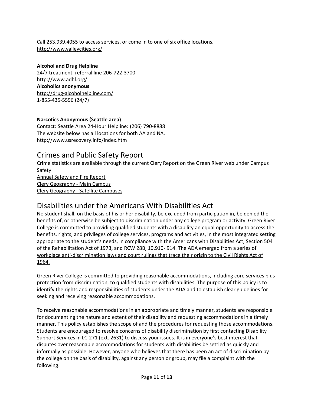Call 253.939.4055 to access services, or come in to one of six office locations. <http://www.valleycities.org/>

#### **Alcohol and Drug Helpline**

24/7 treatment, referral line 206-722-3700 <http://www.adhl.org/> **Alcoholics anonymous**  <http://drug-alcoholhelpline.com/> 1-855-435-5596 (24/7)

#### **Narcotics Anonymous (Seattle area)**

Contact: Seattle Area 24-Hour Helpline: (206) 790-8888 The website below has all locations for both AA and NA. <http://www.usrecovery.info/index.htm>

# Crimes and Public Safety Report

Crime statistics are available through the current Clery Report on the Green River web under Campus Safety [Annual Safety and Fire Report](http://www.greenriver.edu/Documents/about-grcc/campus-safety/asr-2014.pdf) [Clery Geography -](http://www.greenriver.edu/Documents/about-grcc/campus-safety/clery-geography-core-campus.pdf) Main Campus Clery Geography - [Satellite Campuses](http://www.greenriver.edu/Documents/about-grcc/campus-safety/satellite-campuses-clery-geography.pdf)

# Disabilities under the Americans With Disabilities Act

No student shall, on the basis of his or her disability, be excluded from participation in, be denied the benefits of, or otherwise be subject to discrimination under any college program or activity. Green River College is committed to providing qualified students with a disability an equal opportunity to access the benefits, rights, and privileges of college services, programs and activities, in the most integrated setting appropriate to the student's needs, in compliance with the [Americans with Disabilities Act,](http://www.ada.gov/2010_regs.htm) [Section 504](http://www.hhs.gov/ocr/civilrights/resources/factsheets/504.pdf) [of the Rehabilitation Act of 1973,](http://www.hhs.gov/ocr/civilrights/resources/factsheets/504.pdf) and [RCW 28B, 10.910-](http://apps.leg.wa.gov/rcw/default.aspx?cite=28B.10.910).914. The ADA emerged from a series of workplace anti-discrimination laws and court rulings that trace their origin to the Civil Rights Act of 1964.

Green River College is committed to providing reasonable accommodations, including core services plus protection from discrimination, to qualified students with disabilities. The purpose of this policy is to identify the rights and responsibilities of students under the ADA and to establish clear guidelines for seeking and receiving reasonable accommodations.

To receive reasonable accommodations in an appropriate and timely manner, students are responsible for documenting the nature and extent of their disability and requesting accommodations in a timely manner. This policy establishes the scope of and the procedures for requesting those accommodations. Students are encouraged to resolve concerns of disability discrimination by first contacting Disability Support Services in LC-271 (ext. 2631) to discuss your issues. It is in everyone's best interest that disputes over reasonable accommodations for students with disabilities be settled as quickly and informally as possible. However, anyone who believes that there has been an act of discrimination by the college on the basis of disability, against any person or group, may file a complaint with the following: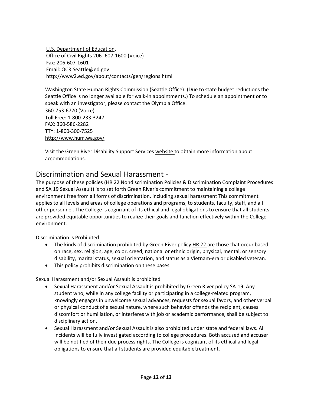U.S. Department of Education, Office of Civil Rights 206- 607-1600 (Voice) Fax: 206-607-1601 Email: [OCR.Seattle@ed.gov](mailto:OCR.Seattle@ed.gov) <http://www2.ed.gov/about/contacts/gen/regions.html>

Washington State Human Rights Commission (Seattle Office): (Due to state budget reductions the Seattle Office is no longer available for walk-in appointments.) To schedule an appointment or to speak with an investigator, please contact the Olympia Office. 360-753-6770 (Voice) Toll Free: 1-800-233-3247 FAX: 360-586-2282 TTY: 1-800-300-7525 <http://www.hum.wa.gov/>

Visit the Green River Disability Support Services [website t](http://www.greenriver.edu/student-affairs/disability-support-services.htm)o obtain more information about accommodations.

# Discrimination and Sexual Harassment -

The purpose of these policies [\(HR 22 Nondiscrimination Policies & Discrimination Complaint Procedures](http://www.greenriver.edu/Documents/about-grcc/policies-and-procedures/HR22-nondiscrimination-policies-discrimination-complaint-procedures.pdf) and [SA 19 Sexual Assault](http://www.greenriver.edu/Documents/about-grcc/policies-and-procedures/SA-19-sexual-assault.pdf)) is to set forth Green River's commitment to maintaining a college environment free from all forms of discrimination, including sexual harassment This commitment applies to all levels and areas of college operations and programs, to students, faculty, staff, and all other personnel. The College is cognizant of its ethical and legal obligations to ensure that all students are provided equitable opportunities to realize their goals and function effectively within the College environment.

Discrimination is Prohibited

- The kinds of discrimination prohibited by Green River policy [HR 22](http://www.greenriver.edu/Documents/about-grcc/policies-and-procedures/HR22-nondiscrimination-policies-discrimination-complaint-procedures.pdf) are those that occur based on race, sex, religion, age, color, creed, national or ethnic origin, physical, mental, or sensory disability, marital status, sexual orientation, and status as a Vietnam-era or disabled veteran.
- This policy prohibits discrimination on these bases.

Sexual Harassment and/or Sexual Assault is prohibited

- Sexual Harassment and/or Sexual Assault is prohibited by Green River policy SA-19. Any student who, while in any college facility or participating in a college-related program, knowingly engages in unwelcome sexual advances, requests for sexual favors, and other verbal or physical conduct of a sexual nature, where such behavior offends the recipient, causes discomfort or humiliation, or interferes with job or academic performance, shall be subject to disciplinary action.
- Sexual Harassment and/or Sexual Assault is also prohibited under state and federal laws. All incidents will be fully investigated according to college procedures. Both accused and accuser will be notified of their due process rights. The College is cognizant of its ethical and legal obligations to ensure that all students are provided equitabletreatment.